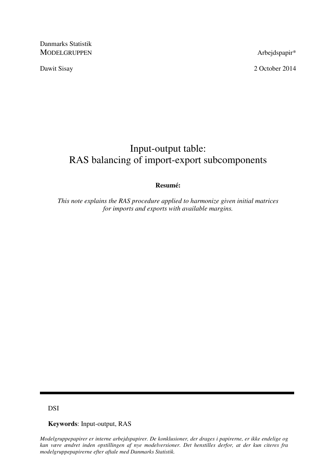Danmarks Statistik MODELGRUPPEN Arbejdspapir\*

Dawit Sisay 2 October 2014

# Input-output table: RAS balancing of import-export subcomponents

## **Resumé:**

*This note explains the RAS procedure applied to harmonize given initial matrices for imports and exports with available margins.* 

DSI

**Keywords**: Input-output, RAS

*Modelgruppepapirer er interne arbejdspapirer. De konklusioner, der drages i papirerne, er ikke endelige og kan være ændret inden opstillingen af nye modelversioner. Det henstilles derfor, at der kun citeres fra modelgruppepapirerne efter aftale med Danmarks Statistik.*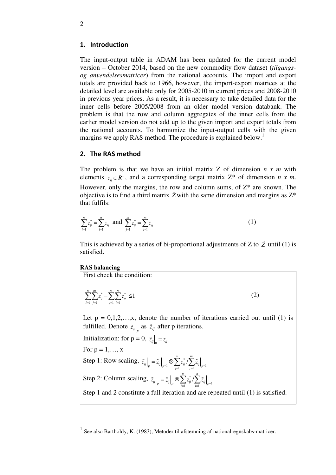### 1. Introduction

The input-output table in ADAM has been updated for the current model version – October 2014, based on the new commodity flow dataset (*tilgangsog anvendelsesmatricer*) from the national accounts. The import and export totals are provided back to 1966, however, the import-export matrices at the detailed level are available only for 2005-2010 in current prices and 2008-2010 in previous year prices. As a result, it is necessary to take detailed data for the inner cells before 2005/2008 from an older model version databank. The problem is that the row and column aggregates of the inner cells from the earlier model version do not add up to the given import and export totals from the national accounts. To harmonize the input-output cells with the given margins we apply RAS method. The procedure is explained below.<sup>1</sup>

## 2. The RAS method

The problem is that we have an initial matrix Z of dimension *n x m* with elements  $z_{ii} \in R^+$ , and a corresponding target matrix  $Z^*$  of dimension *n x m*. However, only the margins, the row and column sums, of  $Z^*$  are known. The objective is to find a third matrix  $\tilde{Z}$  with the same dimension and margins as  $Z^*$ that fulfils:

$$
\sum_{i=1}^{n} z_{ij}^{*} = \sum_{i=1}^{n} \tilde{z}_{ij} \text{ and } \sum_{j=1}^{m} z_{ij}^{*} = \sum_{j=1}^{m} \tilde{z}_{ij}
$$
 (1)

This is achieved by a series of bi-proportional adjustments of  $Z$  to  $\tilde{Z}$  until (1) is satisfied.

#### **RAS balancing**

First check the condition:

$$
\sum_{i=1}^{n} \sum_{j=1}^{m} z_{ij}^* - \sum_{j=1}^{m} \sum_{i=1}^{n} z_{ij}^* \le 1
$$
 (2)

Let  $p = 0,1,2,...,x$ , denote the number of iterations carried out until (1) is fulfilled. Denote  $\tilde{z}_{ij}|_{p}$  as  $\tilde{z}_{ij}$  after p iterations.

Initialization: for  $p = 0$ ,  $\left. \tilde{z}_{ij} \right|_0 = z_{ij}$ 

For  $p = 1, \ldots, x$ 

-

Step 1: Row scaling,  $\left. \tilde{z}_{ij} \right|_p = \tilde{z}_{ij} \Big|_{p=1} \otimes \sum_{j=1} z_{ij}^* / \sum_{j=1} \tilde{z}_{ij} \Big|_{p=1}$  $\sum_{i=1}^m z_{ii}^* / \sum_{i=1}^m$  $\left\|y\right\|_p = \left\|y\right\|_{p-1} \cup \left\|y\right\|_{j=1} \leq \left\|y\right\|_{p-1}$  $\left. \tilde{z}_{ij} \right|_p = \tilde{z}_{ij} \Big|_{p=1} \otimes \sum_{i=1}^m \tilde{z}_{ij}^* \big/ \sum_{i=1}^m \tilde{z}_{ij} \Big|_{p=1}$ 

Step 2: Column scaling,  $\left. \tilde{z}_{ij} \right|_p = \tilde{z}_{ij} \left|_p \otimes \sum_{i=1} z_{ij}^* / \sum_{i=1} \tilde{z}_{ij} \right|_{p-1}$  $\sum_{i=1}^n z_{ii}^* / \sum_{i=1}^n$  $\left\|j\right|_p = \left\langle i\right|_p \cup \left\langle \sum_{i=1}^{j} \left\langle i\right|' \sum_{i=1}^{j} \left\langle i\right|_p \right\rangle$  $\left. \tilde{z}_{ij} \right|_p = \tilde{z}_{ij} \Big|_p \otimes \sum_{i=1}^n z_{ij}^* / \sum_{i=1}^n \tilde{z}_{ij} \Big|_{p-1}$ 

Step 1 and 2 constitute a full iteration and are repeated until (1) is satisfied.

<sup>1</sup> See also Bartholdy, K. (1983), Metoder til afstemning af nationalregnskabs-matricer.